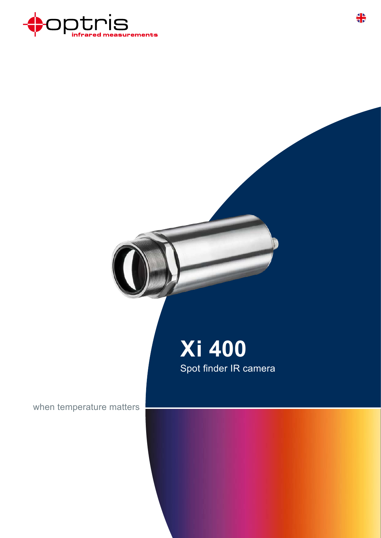

## **Xi 400** Spot finder IR camera

when temperature matters